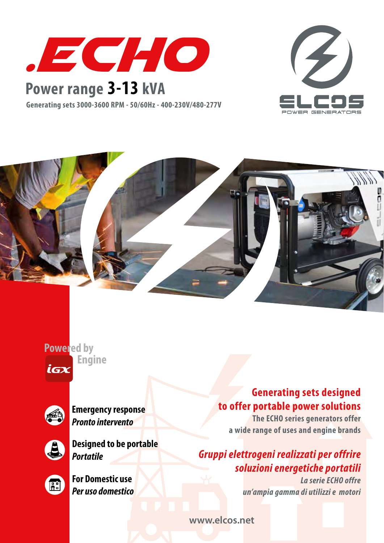

## **Power range 3-13 kVA**

**Generating sets 3000-3600 RPM - 50/60Hz - 400-230V/480-277V**





**Powered by Engine** iax



**Emergency response** *Pronto intervento*



**Designed to be portable** *Portatile*



**For Domestic use** *Per uso domestico*

#### **Generating sets designed to offer portable power solutions**

**The ECHO series generators offer a wide range of uses and engine brands**

### *Gruppi elettrogeni realizzati per offrire soluzioni energetiche portatili*

*La serie ECHO offre un'ampia gamma di utilizzi e motori* 

**www.elcos.net**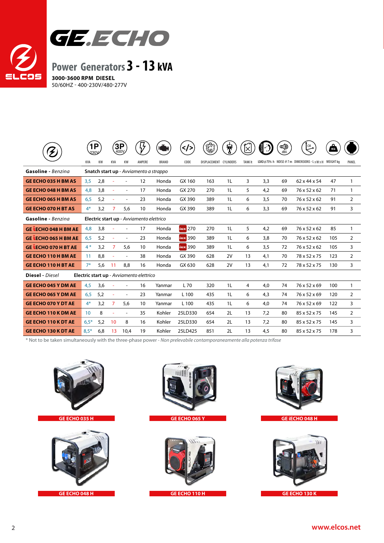

|                                                                    | $\mathbf{P}$<br>230V                     |           |                          | <b>3P</b><br>400Y        | $\mathcal{G}$ | <b>HOME</b> | $\left\langle \text{}<\right\rangle$ | ۵                      | 敻              | ĬХ             | (3) | Φ  | $\mathbb{C}^{\mathbb{M}}$                     | $\Omega$<br>KG |                |
|--------------------------------------------------------------------|------------------------------------------|-----------|--------------------------|--------------------------|---------------|-------------|--------------------------------------|------------------------|----------------|----------------|-----|----|-----------------------------------------------|----------------|----------------|
|                                                                    | KVA                                      | <b>KW</b> | KVA                      | KW                       | AMPERE        | BRAND       | CODE                                 | DISPLACEMENT CYLINDERS |                | <b>TANK It</b> |     |    | LOAD@75%-h NOISE@7m DIMENSIONS-LXWXH WEIGHTkg |                | PANEL          |
| Gasoline - Benzina                                                 | Snatch start up - Avviamento a strappo   |           |                          |                          |               |             |                                      |                        |                |                |     |    |                                               |                |                |
| <b>GE ECHO 035 H BM AS</b>                                         | 3,5                                      | 2,8       | ÷,                       | $\overline{\phantom{a}}$ | 12            | Honda       | GX 160                               | 163                    | 1 <sub>L</sub> | 3              | 3,3 | 69 | 62 x 44 x 54                                  | 47             | 1              |
| <b>GE ECHO 048 H BM AS</b>                                         | 4,8                                      | 3,8       | $\sim$                   |                          | 17            | Honda       | GX 270                               | 270                    | 1 <sub>L</sub> | 5              | 4,2 | 69 | 76 x 52 x 62                                  | 71             | 1              |
| <b>GE ECHO 065 H BM AS</b>                                         | 6,5                                      | 5,2       | $\overline{\phantom{a}}$ | $\overline{\phantom{a}}$ | 23            | Honda       | GX 390                               | 389                    | 1 <sub>L</sub> | 6              | 3,5 | 70 | 76 x 52 x 62                                  | 91             | 2              |
| <b>GE ECHO 070 H BT AS</b>                                         | $4*$                                     | 3,2       | 7                        | 5,6                      | 10            | Honda       | GX 390                               | 389                    | 1 <sub>L</sub> | 6              | 3,3 | 69 | 76 x 52 x 62                                  | 91             | 3              |
| Gasoline - Benzina                                                 | Electric start up - Avviamento elettrico |           |                          |                          |               |             |                                      |                        |                |                |     |    |                                               |                |                |
| <b>GE LECHO 048 H BM AE</b>                                        | 4,8                                      | 3,8       |                          |                          | 17            | Honda       | $i$ G $x$ 270                        | 270                    | 1 <sub>L</sub> | 5              | 4,2 | 69 | 76 x 52 x 62                                  | 85             | 1              |
| <b>GE LECHO 065 H BM AE</b>                                        | 6,5                                      | 5,2       | ÷                        | $\overline{\phantom{a}}$ | 23            | Honda       | icx 390                              | 389                    | 1L             | 6              | 3,8 | 70 | 76 x 52 x 62                                  | 105            | 2              |
| <b>GE LECHO 070 H BT AE</b>                                        | $4*$                                     | 3,2       | 7                        | 5,6                      | 10            | Honda       | $i$ G $x$ 390                        | 389                    | 1L             | 6              | 3,5 | 72 | 76 x 52 x 62                                  | 105            | 3              |
| <b>GE ECHO 110 H BM AE</b>                                         | 11                                       | 8,8       | ÷,                       | $\overline{\phantom{a}}$ | 38            | Honda       | GX 390                               | 628                    | 2V             | 13             | 4,1 | 70 | 78 x 52 x 75                                  | 123            | $\overline{2}$ |
| <b>GE ECHO 110 H BT AE</b>                                         | $7*$                                     | 5,6       | 11                       | 8,8                      | 16            | Honda       | GX 630                               | 628                    | 2V             | 13             | 4,1 | 72 | 78 x 52 x 75                                  | 130            | 3              |
| <b>Diesel</b> - Diesel<br>Electric start up - Avviamento elettrico |                                          |           |                          |                          |               |             |                                      |                        |                |                |     |    |                                               |                |                |
| <b>GE ECHO 045 Y DM AE</b>                                         | 4,5                                      | 3,6       | $\sim$                   | $\overline{a}$           | 16            | Yanmar      | L 70                                 | 320                    | 1 <sub>L</sub> | 4              | 4,0 | 74 | 76 x 52 x 69                                  | 100            | 1              |
| <b>GE ECHO 065 Y DM AE</b>                                         | 6,5                                      | 5,2       | $\overline{\phantom{a}}$ | $\overline{\phantom{a}}$ | 23            | Yanmar      | L 100                                | 435                    | 1 <sub>L</sub> | 6              | 4,3 | 74 | 76 x 52 x 69                                  | 120            | 2              |
| <b>GE ECHO 070 Y DT AE</b>                                         | $4*$                                     | 3,2       | $\overline{7}$           | 5,6                      | 10            | Yanmar      | L <sub>100</sub>                     | 435                    | 1L             | 6              | 4,0 | 74 | 76 x 52 x 69                                  | 122            | 3              |
| <b>GE ECHO 110 K DM AE</b>                                         | 10 <sup>°</sup>                          | 8         | ÷,                       | $\overline{\phantom{a}}$ | 35            | Kohler      | 25LD330                              | 654                    | 2L             | 13             | 7,2 | 80 | 85 x 52 x 75                                  | 145            | 2              |
| <b>GE ECHO 110 K DT AE</b>                                         | $6.5*$                                   | 5,2       | 10                       | 8                        | 16            | Kohler      | 25LD330                              | 654                    | 2L             | 13             | 7,2 | 80 | 85 x 52 x 75                                  | 145            | 3              |
| <b>GE ECHO 130 K DT AE</b>                                         | $8,5*$                                   | 6,8       | 13                       | 10,4                     | 19            | Kohler      | 25LD425                              | 851                    | 2L             | 13             | 4,5 | 80 | 85 x 52 x 75                                  | 178            | 3              |

\* Not to be taken simultaneously with the three-phase power - *Non prelevabile contamporaneamente alla potenza trifase*









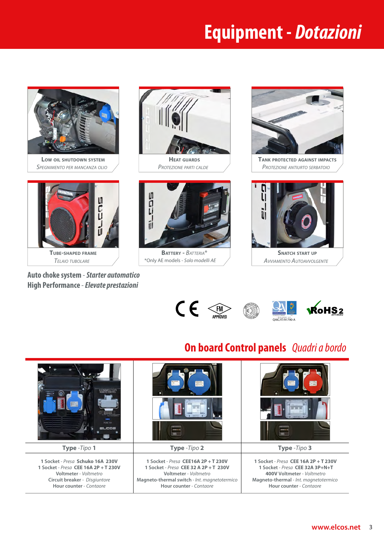## **Equipment -** *Dotazioni*



**Auto choke system** - *Starter automatico*  **High Performance** *- Elevate prestazioni*

\*Only AE models - *Solo modelli AE*



**Tank protected against impacts** *Protezione antiurto serbatoio*



*Avviamento Autoavvolgente*





**1 Socket** - *Presa* **CEE 32А 3P+N+T 400V Voltmeter** - *Voltmetro* **Magneto-thermal** - *Int. magnetotermico* **Hour counter** - *Contaore*

# **On board Control panels** *Quadri a bordo*



**1 Socket** - *Presa* **CEE 16А 2P + T 230V Voltmeter** - *Voltmetro* **Circuit breaker** - *Disgiuntore* **Hour counter** - *Contaore*

**1 Socket** - *Presa* **CEE 32 А 2P + T 230V Voltmeter** - *Voltmetro* **Magneto-thermal switch** - *Int. magnetotermico* **Hour counter** - *Contaore*